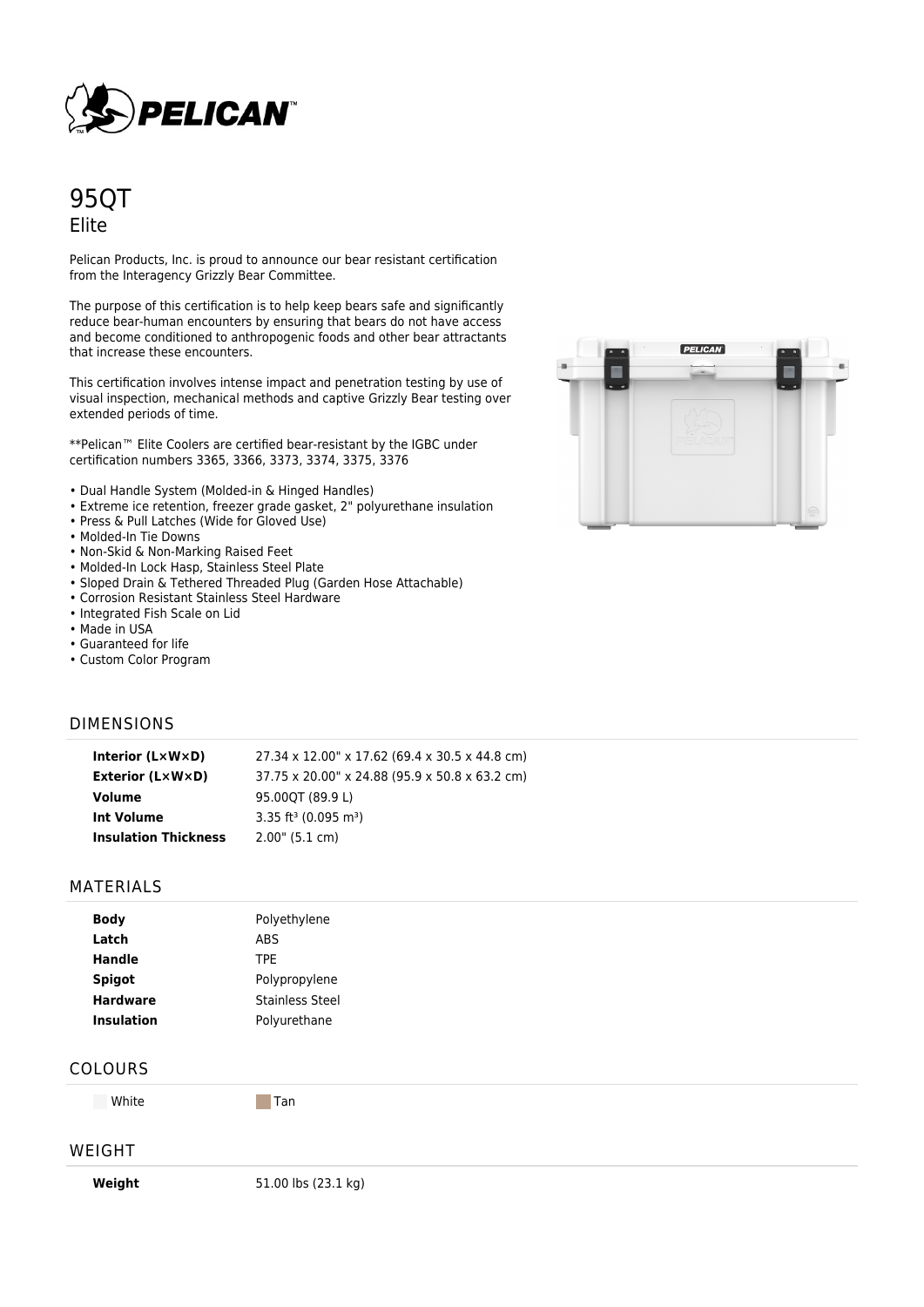

# 95QT Elite

Pelican Products, Inc. is proud to announce our bear resistant certification from the Interagency Grizzly Bear Committee.

The purpose of this certification is to help keep bears safe and significantly reduce bear-human encounters by ensuring that bears do not have access and become conditioned to anthropogenic foods and other bear attractants that increase these encounters.

This certification involves intense impact and penetration testing by use of visual inspection, mechanical methods and captive Grizzly Bear testing over extended periods of time.

\*\*Pelican™ Elite Coolers are certified bear-resistant by the IGBC under certification numbers 3365, 3366, 3373, 3374, 3375, 3376

- Dual Handle System (Molded-in & Hinged Handles)
- Extreme ice retention, freezer grade gasket, 2" polyurethane insulation
- Press & Pull Latches (Wide for Gloved Use)
- Molded-In Tie Downs
- Non-Skid & Non-Marking Raised Feet
- Molded-In Lock Hasp, Stainless Steel Plate
- Sloped Drain & Tethered Threaded Plug (Garden Hose Attachable)
- Corrosion Resistant Stainless Steel Hardware
- Integrated Fish Scale on Lid
- Made in USA
- Guaranteed for life
- Custom Color Program

### DIMENSIONS

| Interior $(L \times W \times D)$ | 27.34 x 12.00" x 17.62 (69.4 x 30.5 x 44.8 cm) |
|----------------------------------|------------------------------------------------|
| <b>Exterior (L×W×D)</b>          | 37.75 x 20.00" x 24.88 (95.9 x 50.8 x 63.2 cm) |
| Volume                           | 95.00OT (89.9 L)                               |
| Int Volume                       | 3.35 ft <sup>3</sup> (0.095 m <sup>3</sup> )   |
| <b>Insulation Thickness</b>      | $2.00$ " (5.1 cm)                              |

#### MATERIALS

| <b>Body</b>       | Polyethylene           |  |
|-------------------|------------------------|--|
| Latch             | <b>ABS</b>             |  |
| <b>Handle</b>     | TPE.                   |  |
| <b>Spigot</b>     | Polypropylene          |  |
| <b>Hardware</b>   | <b>Stainless Steel</b> |  |
| <b>Insulation</b> | Polyurethane           |  |

#### COLOURS

White Tan

#### WEIGHT